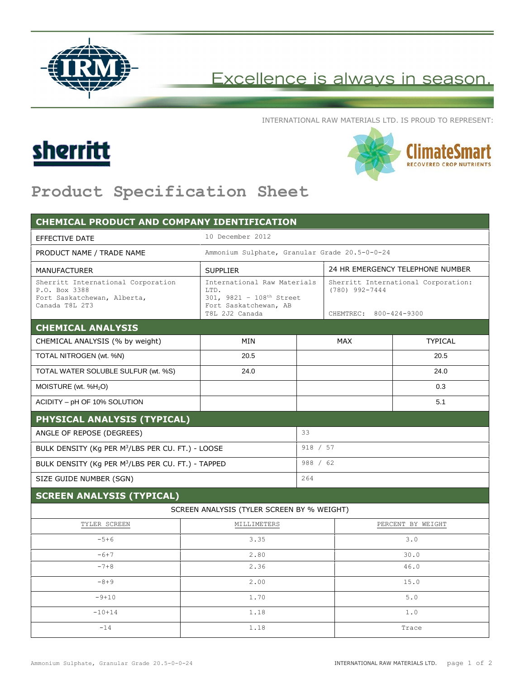

## Excellence is always in season.

INTERNATIONAL RAW MATERIALS LTD. IS PROUD TO REPRESENT:





## **Product Specification Sheet**

| <b>CHEMICAL PRODUCT AND COMPANY IDENTIFICATION</b>                                                   |                                                                                                                         |            |                                                                                   |                |  |
|------------------------------------------------------------------------------------------------------|-------------------------------------------------------------------------------------------------------------------------|------------|-----------------------------------------------------------------------------------|----------------|--|
| <b>EFFECTIVE DATE</b>                                                                                | 10 December 2012                                                                                                        |            |                                                                                   |                |  |
| PRODUCT NAME / TRADE NAME                                                                            | Ammonium Sulphate, Granular Grade 20.5-0-0-24                                                                           |            |                                                                                   |                |  |
| <b>MANUFACTURER</b>                                                                                  | <b>SUPPLIER</b>                                                                                                         |            | 24 HR EMERGENCY TELEPHONE NUMBER                                                  |                |  |
| Sherritt International Corporation<br>P.O. Box 3388<br>Fort Saskatchewan, Alberta,<br>Canada T8L 2T3 | International Raw Materials<br>T.TD.<br>301, 9821 - 108 <sup>th</sup> Street<br>Fort Saskatchewan, AB<br>T8L 2J2 Canada |            | Sherritt International Corporation:<br>$(780)$ 992-7444<br>CHEMTREC: 800-424-9300 |                |  |
| <b>CHEMICAL ANALYSIS</b>                                                                             |                                                                                                                         |            |                                                                                   |                |  |
| CHEMICAL ANALYSIS (% by weight)                                                                      | MIN                                                                                                                     | <b>MAX</b> |                                                                                   | <b>TYPICAL</b> |  |
| TOTAL NITROGEN (wt. %N)                                                                              | 20.5                                                                                                                    |            |                                                                                   | 20.5           |  |
| TOTAL WATER SOLUBLE SULFUR (wt. %S)                                                                  | 24.0                                                                                                                    |            |                                                                                   | 24.0           |  |
| MOISTURE (wt. %H <sub>2</sub> O)                                                                     |                                                                                                                         |            |                                                                                   | 0.3            |  |
| ACIDITY - pH OF 10% SOLUTION                                                                         |                                                                                                                         |            |                                                                                   | 5.1            |  |
| PHYSICAL ANALYSIS (TYPICAL)                                                                          |                                                                                                                         |            |                                                                                   |                |  |
| ANGLE OF REPOSE (DEGREES)                                                                            |                                                                                                                         |            | 33                                                                                |                |  |
| BULK DENSITY (Kg PER M <sup>3</sup> /LBS PER CU. FT.) - LOOSE                                        |                                                                                                                         | 918 / 57   |                                                                                   |                |  |
| BULK DENSITY (Kg PER M <sup>3</sup> /LBS PER CU. FT.) - TAPPED                                       |                                                                                                                         | 988 / 62   |                                                                                   |                |  |
| SIZE GUIDE NUMBER (SGN)                                                                              |                                                                                                                         |            | 264                                                                               |                |  |
| <b>SCREEN ANALYSIS (TYPICAL)</b>                                                                     |                                                                                                                         |            |                                                                                   |                |  |
|                                                                                                      | SCREEN ANALYSIS (TYLER SCREEN BY % WEIGHT)                                                                              |            |                                                                                   |                |  |
| TYLER SCREEN                                                                                         | MILLIMETERS                                                                                                             |            | PERCENT BY WEIGHT                                                                 |                |  |
| $-5+6$                                                                                               | 3.35                                                                                                                    |            | 3.0                                                                               |                |  |
| $-6+7$                                                                                               | 2.80                                                                                                                    |            | 30.0                                                                              |                |  |
| $-7+8$                                                                                               | 2.36                                                                                                                    |            | 46.0                                                                              |                |  |
| $-8+9$                                                                                               | 2.00                                                                                                                    |            | 15.0                                                                              |                |  |
| $-9+10$                                                                                              | 1.70                                                                                                                    |            | 5.0                                                                               |                |  |
| $-10+14$                                                                                             | 1.18                                                                                                                    |            | 1.0                                                                               |                |  |
| $-14$                                                                                                | 1.18                                                                                                                    |            | Trace                                                                             |                |  |